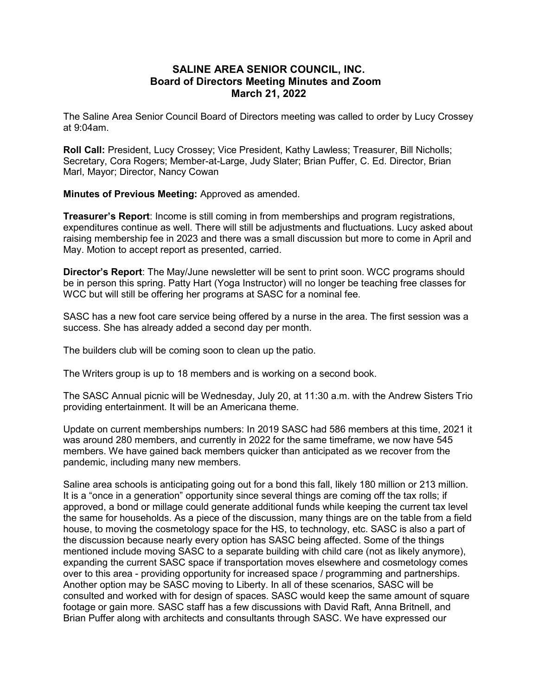## SALINE AREA SENIOR COUNCIL, INC. Board of Directors Meeting Minutes and Zoom March 21, 2022

The Saline Area Senior Council Board of Directors meeting was called to order by Lucy Crossey at 9:04am.

Roll Call: President, Lucy Crossey; Vice President, Kathy Lawless; Treasurer, Bill Nicholls; Secretary, Cora Rogers; Member-at-Large, Judy Slater; Brian Puffer, C. Ed. Director, Brian Marl, Mayor; Director, Nancy Cowan

Minutes of Previous Meeting: Approved as amended.

Treasurer's Report: Income is still coming in from memberships and program registrations, expenditures continue as well. There will still be adjustments and fluctuations. Lucy asked about raising membership fee in 2023 and there was a small discussion but more to come in April and May. Motion to accept report as presented, carried.

Director's Report: The May/June newsletter will be sent to print soon. WCC programs should be in person this spring. Patty Hart (Yoga Instructor) will no longer be teaching free classes for WCC but will still be offering her programs at SASC for a nominal fee.

SASC has a new foot care service being offered by a nurse in the area. The first session was a success. She has already added a second day per month.

The builders club will be coming soon to clean up the patio.

The Writers group is up to 18 members and is working on a second book.

The SASC Annual picnic will be Wednesday, July 20, at 11:30 a.m. with the Andrew Sisters Trio providing entertainment. It will be an Americana theme.

Update on current memberships numbers: In 2019 SASC had 586 members at this time, 2021 it was around 280 members, and currently in 2022 for the same timeframe, we now have 545 members. We have gained back members quicker than anticipated as we recover from the pandemic, including many new members.

Saline area schools is anticipating going out for a bond this fall, likely 180 million or 213 million. It is a "once in a generation" opportunity since several things are coming off the tax rolls; if approved, a bond or millage could generate additional funds while keeping the current tax level the same for households. As a piece of the discussion, many things are on the table from a field house, to moving the cosmetology space for the HS, to technology, etc. SASC is also a part of the discussion because nearly every option has SASC being affected. Some of the things mentioned include moving SASC to a separate building with child care (not as likely anymore), expanding the current SASC space if transportation moves elsewhere and cosmetology comes over to this area - providing opportunity for increased space / programming and partnerships. Another option may be SASC moving to Liberty. In all of these scenarios, SASC will be consulted and worked with for design of spaces. SASC would keep the same amount of square footage or gain more. SASC staff has a few discussions with David Raft, Anna Britnell, and Brian Puffer along with architects and consultants through SASC. We have expressed our